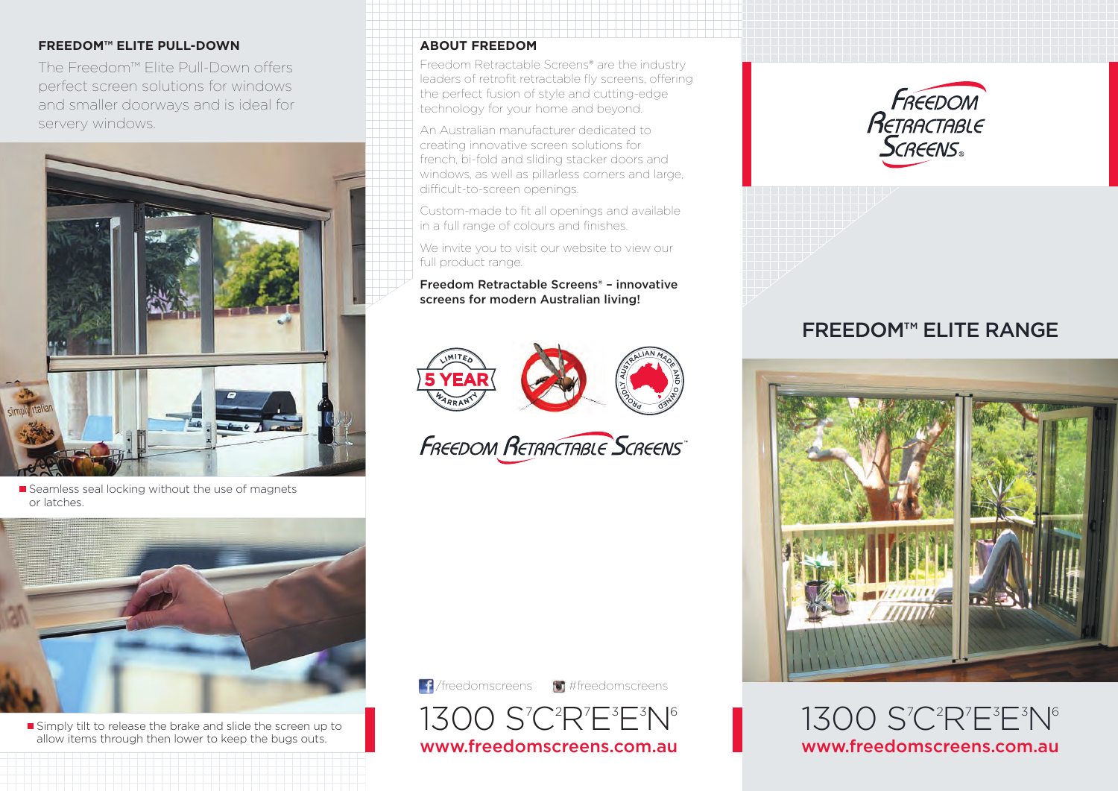#### **FREEDOM™ ELITE PULL-DOWN**

The Freedom™ Elite Pull-Down offers perfect screen solutions for windows and smaller doorways and is ideal for servery windows.



Seamless seal locking without the use of magnets or latches.



Simply tilt to release the brake and slide the screen up to allow items through then lower to keep the bugs outs.

#### **ABOUT FREEDOM**

Freedom Retractable Screens® are the industry leaders of retrofit retractable fly screens, offering the perfect fusion of style and cutting-edge technology for your home and beyond.

An Australian manufacturer dedicated to creating innovative screen solutions for french, bi-fold and sliding stacker doors and windows, as well as pillarless corners and large. difficult-to-screen openings.

Custom-made to fit all openings and available in a full range of colours and finishes.

We invite you to visit our website to view our full product range.

#### Freedom Retractable Screens® – innovative screens for modern Australian living!



**FREEDOM RETRACTABLE SCREENS** 







# FREEDOM™ ELITE RANGE



1300 S'C<sup>2</sup>R'E<sup>3</sup>E<sup>3</sup>N<sup>6</sup> www.freedomscreens.com.au